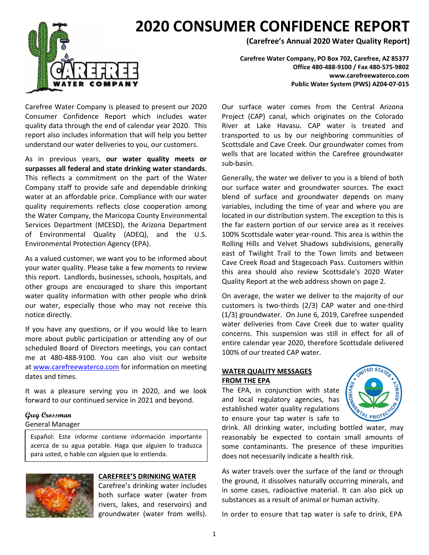

# **2020 CONSUMER CONFIDENCE REPORT**

**(Carefree's Annual 2020 Water Quality Report)**

**Carefree Water Company, PO Box 702, Carefree, AZ 85377 Office 480-488-9100 / Fax 480-575-9802 www.carefreewaterco.com Public Water System (PWS) AZ04-07-015**

Carefree Water Company is pleased to present our 2020 Consumer Confidence Report which includes water quality data through the end of calendar year 2020. This report also includes information that will help you better understand our water deliveries to you, our customers.

As in previous years, **our water quality meets or surpasses all federal and state drinking water standards**. This reflects a commitment on the part of the Water Company staff to provide safe and dependable drinking water at an affordable price. Compliance with our water quality requirements reflects close cooperation among the Water Company, the Maricopa County Environmental Services Department (MCESD), the Arizona Department of Environmental Quality (ADEQ), and the U.S. Environmental Protection Agency (EPA).

As a valued customer, we want you to be informed about your water quality. Please take a few moments to review this report. Landlords, businesses, schools, hospitals, and other groups are encouraged to share this important water quality information with other people who drink our water, especially those who may not receive this notice directly.

If you have any questions, or if you would like to learn more about public participation or attending any of our scheduled Board of Directors meetings, you can contact me at 480-488-9100. You can also visit our website at [www.carefreewaterco.com](http://www.carefreewaterco.com/) for information on meeting dates and times.

It was a pleasure serving you in 2020, and we look forward to our continued service in 2021 and beyond.

#### **Greg Crossman**

#### General Manager

Español: Este informe contiene información importante acerca de su agua potable. Haga que alguien lo traduzca para usted, o hable con alguien que lo entienda.



#### **CAREFREE'S DRINKING WATER**

Carefree's drinking water includes both surface water (water from rivers, lakes, and reservoirs) and groundwater (water from wells).

Our surface water comes from the Central Arizona Project (CAP) canal, which originates on the Colorado River at Lake Havasu. CAP water is treated and transported to us by our neighboring communities of Scottsdale and Cave Creek. Our groundwater comes from wells that are located within the Carefree groundwater sub-basin.

Generally, the water we deliver to you is a blend of both our surface water and groundwater sources. The exact blend of surface and groundwater depends on many variables, including the time of year and where you are located in our distribution system. The exception to this is the far eastern portion of our service area as it receives 100% Scottsdale water year-round. This area is within the Rolling Hills and Velvet Shadows subdivisions, generally east of Twilight Trail to the Town limits and between Cave Creek Road and Stagecoach Pass. Customers within this area should also review Scottsdale's 2020 Water Quality Report at the web address shown on page 2.

On average, the water we deliver to the majority of our customers is two-thirds (2/3) CAP water and one-third (1/3) groundwater. On June 6, 2019, Carefree suspended water deliveries from Cave Creek due to water quality concerns. This suspension was still in effect for all of entire calendar year 2020, therefore Scottsdale delivered 100% of our treated CAP water.

#### **WATER QUALITY MESSAGES FROM THE EPA**

The EPA, in conjunction with state and local regulatory agencies, has established water quality regulations to ensure your tap water is safe to



drink. All drinking water, including bottled water, may reasonably be expected to contain small amounts of some contaminants. The presence of these impurities does not necessarily indicate a health risk.

As water travels over the surface of the land or through the ground, it dissolves naturally occurring minerals, and in some cases, radioactive material. It can also pick up substances as a result of animal or human activity.

In order to ensure that tap water is safe to drink, EPA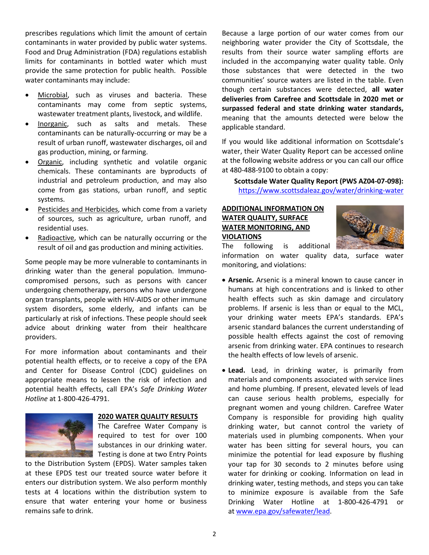prescribes regulations which limit the amount of certain contaminants in water provided by public water systems. Food and Drug Administration (FDA) regulations establish limits for contaminants in bottled water which must provide the same protection for public health. Possible water contaminants may include:

- Microbial, such as viruses and bacteria. These contaminants may come from septic systems, wastewater treatment plants, livestock, and wildlife.
- Inorganic, such as salts and metals. These contaminants can be naturally-occurring or may be a result of urban runoff, wastewater discharges, oil and gas production, mining, or farming.
- Organic, including synthetic and volatile organic chemicals. These contaminants are byproducts of industrial and petroleum production, and may also come from gas stations, urban runoff, and septic systems.
- Pesticides and Herbicides, which come from a variety of sources, such as agriculture, urban runoff, and residential uses.
- Radioactive, which can be naturally occurring or the result of oil and gas production and mining activities.

Some people may be more vulnerable to contaminants in drinking water than the general population. Immunocompromised persons, such as persons with cancer undergoing chemotherapy, persons who have undergone organ transplants, people with HIV-AIDS or other immune system disorders, some elderly, and infants can be particularly at risk of infections. These people should seek advice about drinking water from their healthcare providers.

For more information about contaminants and their potential health effects, or to receive a copy of the EPA and Center for Disease Control (CDC) guidelines on appropriate means to lessen the risk of infection and potential health effects, call EPA's *Safe Drinking Water Hotline* at 1-800-426-4791.



#### **2020 WATER QUALITY RESULTS**

The Carefree Water Company is required to test for over 100 substances in our drinking water. Testing is done at two Entry Points

to the Distribution System (EPDS). Water samples taken at these EPDS test our treated source water before it enters our distribution system. We also perform monthly tests at 4 locations within the distribution system to ensure that water entering your home or business remains safe to drink.

Because a large portion of our water comes from our neighboring water provider the City of Scottsdale, the results from their source water sampling efforts are included in the accompanying water quality table. Only those substances that were detected in the two communities' source waters are listed in the table. Even though certain substances were detected, **all water deliveries from Carefree and Scottsdale in 2020 met or surpassed federal and state drinking water standards,**  meaning that the amounts detected were below the applicable standard.

If you would like additional information on Scottsdale's water, their Water Quality Report can be accessed online at the following website address or you can call our office at 480-488-9100 to obtain a copy:

**Scottsdale Water Quality Report (PWS AZ04-07-098):**  <https://www.scottsdaleaz.gov/water/drinking-water>

### **ADDITIONAL INFORMATION ON WATER QUALITY, SURFACE WATER MONITORING, AND VIOLATIONS**



The following is additional information on water quality data, surface water monitoring, and violations:

- **Arsenic.** Arsenic is a mineral known to cause cancer in humans at high concentrations and is linked to other health effects such as skin damage and circulatory problems. If arsenic is less than or equal to the MCL, your drinking water meets EPA's standards. EPA's arsenic standard balances the current understanding of possible health effects against the cost of removing arsenic from drinking water. EPA continues to research the health effects of low levels of arsenic.
- **Lead.** Lead, in drinking water, is primarily from materials and components associated with service lines and home plumbing. If present, elevated levels of lead can cause serious health problems, especially for pregnant women and young children. Carefree Water Company is responsible for providing high quality drinking water, but cannot control the variety of materials used in plumbing components. When your water has been sitting for several hours, you can minimize the potential for lead exposure by flushing your tap for 30 seconds to 2 minutes before using water for drinking or cooking. Information on lead in drinking water, testing methods, and steps you can take to minimize exposure is available from the Safe Drinking Water Hotline at 1-800-426-4791 or at [www.epa.gov/safewater/lead.](http://www.epa.gov/safewater/lead)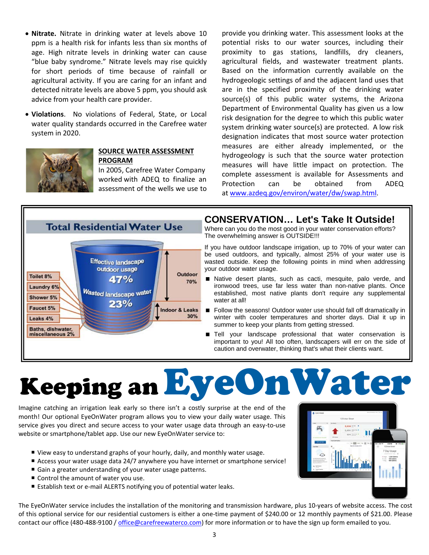- **Nitrate.** Nitrate in drinking water at levels above 10 ppm is a health risk for infants less than six months of age. High nitrate levels in drinking water can cause "blue baby syndrome." Nitrate levels may rise quickly for short periods of time because of rainfall or agricultural activity. If you are caring for an infant and detected nitrate levels are above 5 ppm, you should ask advice from your health care provider.
- **Violations**. No violations of Federal, State, or Local water quality standards occurred in the Carefree water system in 2020.



#### **SOURCE WATER ASSESSMENT PROGRAM**

In 2005, Carefree Water Company worked with ADEQ to finalize an assessment of the wells we use to

provide you drinking water. This assessment looks at the potential risks to our water sources, including their proximity to gas stations, landfills, dry cleaners, agricultural fields, and wastewater treatment plants. Based on the information currently available on the hydrogeologic settings of and the adjacent land uses that are in the specified proximity of the drinking water source(s) of this public water systems, the Arizona Department of Environmental Quality has given us a low risk designation for the degree to which this public water system drinking water source(s) are protected. A low risk designation indicates that most source water protection measures are either already implemented, or the hydrogeology is such that the source water protection measures will have little impact on protection. The complete assessment is available for Assessments and Protection can be obtained from ADEQ at [www.azdeq.gov/environ/water/dw/swap.html.](http://www.azdeq.gov/environ/water/dw/swap.html)



## **CONSERVATION… Let's Take It Outside!**

Where can you do the most good in your water conservation efforts? The overwhelming answer is OUTSIDE!!!

If you have outdoor landscape irrigation, up to 70% of your water can be used outdoors, and typically, almost 25% of your water use is wasted outside. Keep the following points in mind when addressing your outdoor water usage.

- Native desert plants, such as cacti, mesquite, palo verde, and ironwood trees, use far less water than non-native plants. Once established, most native plants don't require any supplemental water at all!
- Follow the seasons! Outdoor water use should fall off dramatically in winter with cooler temperatures and shorter days. Dial it up in summer to keep your plants from getting stressed.
- Tell your landscape professional that water conservation is important to you! All too often, landscapers will err on the side of caution and overwater, thinking that's what their clients want.

# Keeping anEyeOnWater

Imagine catching an irrigation leak early so there isn't a costly surprise at the end of the month! Our optional EyeOnWater program allows you to view your daily water usage. This service gives you direct and secure access to your water usage data through an easy-to-use website or smartphone/tablet app. Use our new EyeOnWater service to:

- View easy to understand graphs of your hourly, daily, and monthly water usage.
- Access your water usage data 24/7 anywhere you have internet or smartphone service!
- Gain a greater understanding of your water usage patterns.
- Control the amount of water you use.
- Establish text or e-mail ALERTS notifying you of potential water leaks.

The EyeOnWater service includes the installation of the monitoring and transmission hardware, plus 10-years of website access. The cost of this optional service for our residential customers is either a one-time payment of \$240.00 or 12 monthly payments of \$21.00. Please contact our office (480-488-9100 / [office@carefreewaterco.com\)](mailto:office@carefreewaterco.com) for more information or to have the sign up form emailed to you.